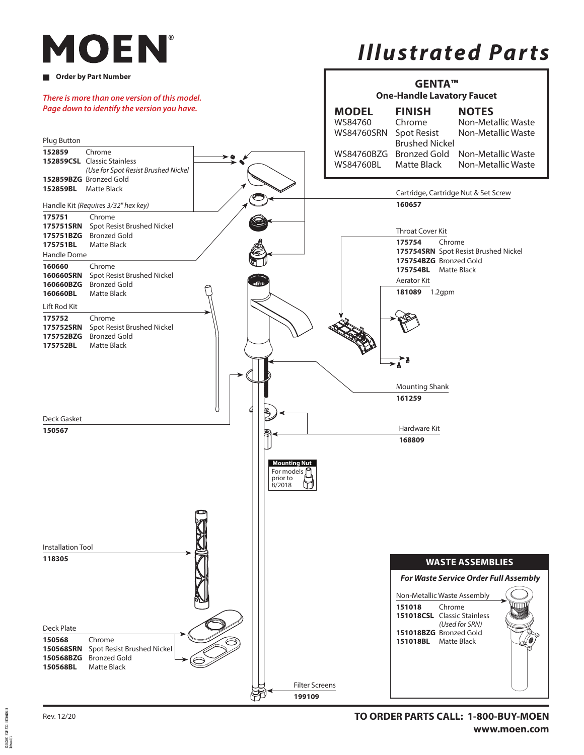# MOEN

#### **Order by Part Number**

# *Illustrated Parts*



Rev. 12/20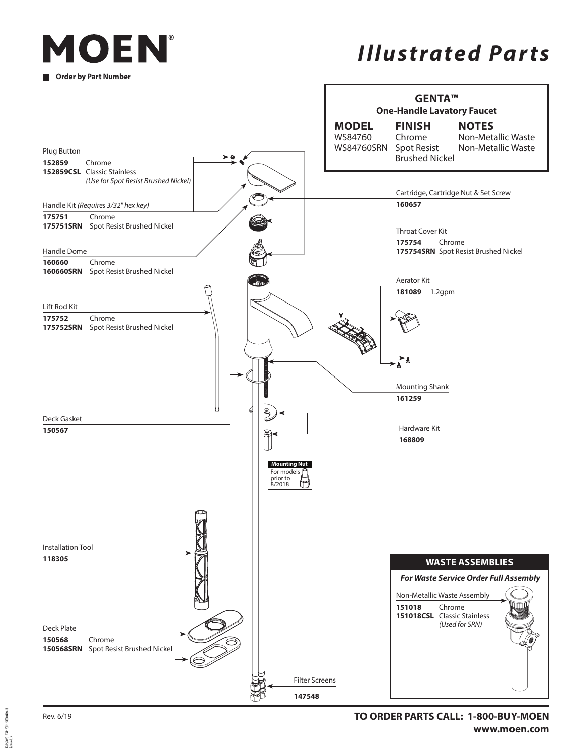

## *Illustrated Parts*



30000016815 EXPIDE

Rev. 6/19